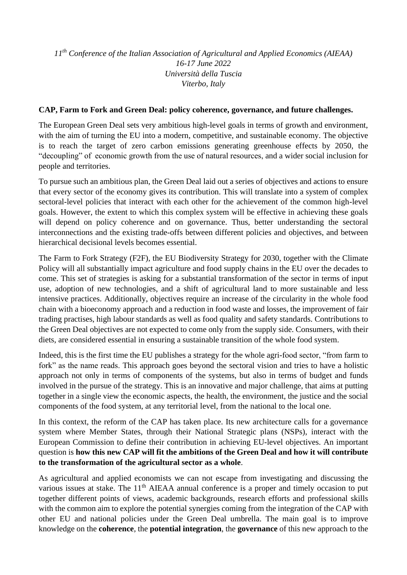*11th Conference of the Italian Association of Agricultural and Applied Economics (AIEAA) 16-17 June 2022 Università della Tuscia Viterbo, Italy*

#### **CAP, Farm to Fork and Green Deal: policy coherence, governance, and future challenges.**

The European Green Deal sets very ambitious high-level goals in terms of growth and environment, with the aim of turning the EU into a modern, competitive, and sustainable economy. The objective is to reach the target of zero carbon emissions generating greenhouse effects by 2050, the "decoupling" of economic growth from the use of natural resources, and a wider social inclusion for people and territories.

To pursue such an ambitious plan, the Green Deal laid out a series of objectives and actions to ensure that every sector of the economy gives its contribution. This will translate into a system of complex sectoral-level policies that interact with each other for the achievement of the common high-level goals. However, the extent to which this complex system will be effective in achieving these goals will depend on policy coherence and on governance. Thus, better understanding the sectoral interconnections and the existing trade-offs between different policies and objectives, and between hierarchical decisional levels becomes essential.

The Farm to Fork Strategy (F2F), the EU Biodiversity Strategy for 2030, together with the Climate Policy will all substantially impact agriculture and food supply chains in the EU over the decades to come. This set of strategies is asking for a substantial transformation of the sector in terms of input use, adoption of new technologies, and a shift of agricultural land to more sustainable and less intensive practices. Additionally, objectives require an increase of the circularity in the whole food chain with a bioeconomy approach and a reduction in food waste and losses, the improvement of fair trading practises, high labour standards as well as food quality and safety standards. Contributions to the Green Deal objectives are not expected to come only from the supply side. Consumers, with their diets, are considered essential in ensuring a sustainable transition of the whole food system.

Indeed, this is the first time the EU publishes a strategy for the whole agri-food sector, "from farm to fork" as the name reads. This approach goes beyond the sectoral vision and tries to have a holistic approach not only in terms of components of the systems, but also in terms of budget and funds involved in the pursue of the strategy. This is an innovative and major challenge, that aims at putting together in a single view the economic aspects, the health, the environment, the justice and the social components of the food system, at any territorial level, from the national to the local one.

In this context, the reform of the CAP has taken place. Its new architecture calls for a governance system where Member States, through their National Strategic plans (NSPs), interact with the European Commission to define their contribution in achieving EU-level objectives. An important question is **how this new CAP will fit the ambitions of the Green Deal and how it will contribute to the transformation of the agricultural sector as a whole**.

As agricultural and applied economists we can not escape from investigating and discussing the various issues at stake. The 11<sup>th</sup> AIEAA annual conference is a proper and timely occasion to put together different points of views, academic backgrounds, research efforts and professional skills with the common aim to explore the potential synergies coming from the integration of the CAP with other EU and national policies under the Green Deal umbrella. The main goal is to improve knowledge on the **coherence**, the **potential integration**, the **governance** of this new approach to the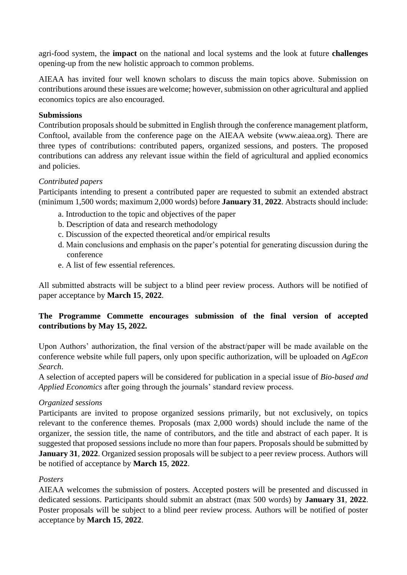agri-food system, the **impact** on the national and local systems and the look at future **challenges** opening-up from the new holistic approach to common problems.

AIEAA has invited four well known scholars to discuss the main topics above. Submission on contributions around these issues are welcome; however, submission on other agricultural and applied economics topics are also encouraged.

### **Submissions**

Contribution proposals should be submitted in English through the conference management platform, Conftool, available from the conference page on the AIEAA website (www.aieaa.org). There are three types of contributions: contributed papers, organized sessions, and posters. The proposed contributions can address any relevant issue within the field of agricultural and applied economics and policies.

### *Contributed papers*

Participants intending to present a contributed paper are requested to submit an extended abstract (minimum 1,500 words; maximum 2,000 words) before **January 31**, **2022**. Abstracts should include:

- a. Introduction to the topic and objectives of the paper
- b. Description of data and research methodology
- c. Discussion of the expected theoretical and/or empirical results
- d. Main conclusions and emphasis on the paper's potential for generating discussion during the conference
- e. A list of few essential references.

All submitted abstracts will be subject to a blind peer review process. Authors will be notified of paper acceptance by **March 15**, **2022**.

# **The Programme Commette encourages submission of the final version of accepted contributions by May 15, 2022.**

Upon Authors' authorization, the final version of the abstract/paper will be made available on the conference website while full papers, only upon specific authorization, will be uploaded on *AgEcon Search*.

A selection of accepted papers will be considered for publication in a special issue of *Bio-based and Applied Economics* after going through the journals' standard review process.

### *Organized sessions*

Participants are invited to propose organized sessions primarily, but not exclusively, on topics relevant to the conference themes. Proposals (max 2,000 words) should include the name of the organizer, the session title, the name of contributors, and the title and abstract of each paper. It is suggested that proposed sessions include no more than four papers. Proposals should be submitted by **January 31**, **2022**. Organized session proposals will be subject to a peer review process. Authors will be notified of acceptance by **March 15**, **2022**.

### *Posters*

AIEAA welcomes the submission of posters. Accepted posters will be presented and discussed in dedicated sessions. Participants should submit an abstract (max 500 words) by **January 31**, **2022**. Poster proposals will be subject to a blind peer review process. Authors will be notified of poster acceptance by **March 15**, **2022**.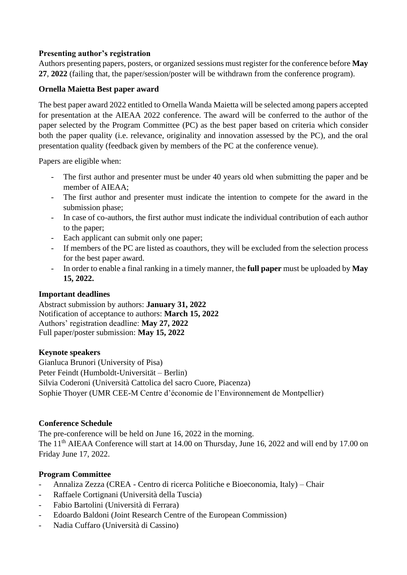# **Presenting author's registration**

Authors presenting papers, posters, or organized sessions must register for the conference before **May 27**, **2022** (failing that, the paper/session/poster will be withdrawn from the conference program).

## **Ornella Maietta Best paper award**

The best paper award 2022 entitled to Ornella Wanda Maietta will be selected among papers accepted for presentation at the AIEAA 2022 conference. The award will be conferred to the author of the paper selected by the Program Committee (PC) as the best paper based on criteria which consider both the paper quality (i.e. relevance, originality and innovation assessed by the PC), and the oral presentation quality (feedback given by members of the PC at the conference venue).

Papers are eligible when:

- The first author and presenter must be under 40 years old when submitting the paper and be member of AIEAA;
- The first author and presenter must indicate the intention to compete for the award in the submission phase;
- In case of co-authors, the first author must indicate the individual contribution of each author to the paper;
- Each applicant can submit only one paper;
- If members of the PC are listed as coauthors, they will be excluded from the selection process for the best paper award.
- In order to enable a final ranking in a timely manner, the **full paper** must be uploaded by **May 15, 2022.**

### **Important deadlines**

Abstract submission by authors: **January 31, 2022** Notification of acceptance to authors: **March 15, 2022** Authors' registration deadline: **May 27, 2022** Full paper/poster submission: **May 15, 2022**

### **Keynote speakers**

Gianluca Brunori (University of Pisa) Peter Feindt (Humboldt-Universität – Berlin) Silvia Coderoni (Università Cattolica del sacro Cuore, Piacenza) Sophie Thoyer (UMR CEE-M Centre d'économie de l'Environnement de Montpellier)

### **Conference Schedule**

The pre-conference will be held on June 16, 2022 in the morning. The 11<sup>th</sup> AIEAA Conference will start at 14.00 on Thursday, June 16, 2022 and will end by 17.00 on Friday June 17, 2022.

### **Program Committee**

- Annaliza Zezza (CREA Centro di ricerca Politiche e Bioeconomia, Italy) Chair
- Raffaele Cortignani (Università della Tuscia)
- Fabio Bartolini (Università di Ferrara)
- Edoardo Baldoni (Joint Research Centre of the European Commission)
- Nadia Cuffaro (Università di Cassino)